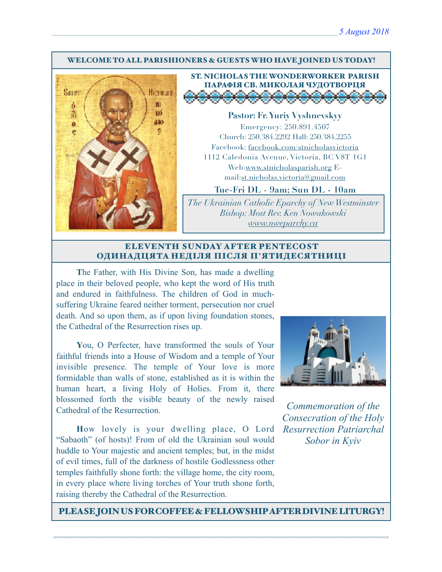#### WELCOME TO ALL PARISHIONERS & GUESTS WHO HAVE JOINED US TODAY!



ST. NICHOLAS THE WONDERWORKER PARISH ПАРАФІЯ СВ. МИКОЛАЯ ЧУДОТВОРЦЯ<br>Д<del>ООООООООООООО</del>

**Pastor: Fr. Yuriy Vyshnevskyy** Emergency: 250.891.4507 Church: 250.384.2292 Hall: 250.384.2255 Facebook: facebook.com/stnicholasvictoria 1112 Caledonia Avenue, Victoria, BC V8T 1G1 Web[:www.stnicholasparish.org](http://www.stnicholasparish.org) Email:[st.nicholas.victoria@gmail.com](mailto:st.nicholas.victoria@gmail.com)

**Tue-Fri DL - 9am; Sun DL - 10am**

*The Ukrainian Catholic Eparchy of New Westminster Bishop: Most Rev. Ken Nowakowski [www.nweparchy.ca](http://www.nweparchy.ca)*

#### ELEVENTH SUNDAY AFTER PENTECOST ОДИНАДЦЯТА НЕДІЛЯ ПІСЛЯ П**'**ЯТИДЕСЯТНИЦІ

**T**he Father, with His Divine Son, has made a dwelling place in their beloved people, who kept the word of His truth and endured in faithfulness. The children of God in muchsuffering Ukraine feared neither torment, persecution nor cruel death. And so upon them, as if upon living foundation stones, the Cathedral of the Resurrection rises up.

**Y**ou, O Perfecter, have transformed the souls of Your faithful friends into a House of Wisdom and a temple of Your invisible presence. The temple of Your love is more formidable than walls of stone, established as it is within the human heart, a living Holy of Holies. From it, there blossomed forth the visible beauty of the newly raised Cathedral of the Resurrection.

**H**ow lovely is your dwelling place, O Lord "Sabaoth" (of hosts)! From of old the Ukrainian soul would huddle to Your majestic and ancient temples; but, in the midst of evil times, full of the darkness of hostile Godlessness other temples faithfully shone forth: the village home, the city room, in every place where living torches of Your truth shone forth, raising thereby the Cathedral of the Resurrection.



*Commemoration of the Consecration of the Holy Resurrection Patriarchal Sobor in Kyiv*

PLEASE JOIN US FOR COFFEE & FELLOWSHIP AFTER DIVINE LITURGY!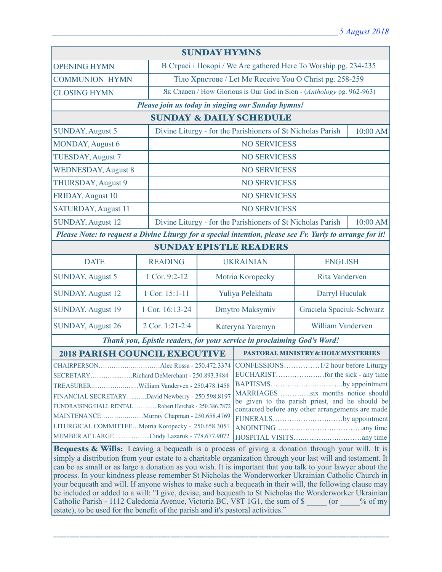| <b>SUNDAY HYMNS</b>                                                                                                                                                                                                                                                                                                                                                                                                                                                                                                                                                                                                                                                                                                                                                 |                 |                                                                         |                                                                         |                     |  |  |
|---------------------------------------------------------------------------------------------------------------------------------------------------------------------------------------------------------------------------------------------------------------------------------------------------------------------------------------------------------------------------------------------------------------------------------------------------------------------------------------------------------------------------------------------------------------------------------------------------------------------------------------------------------------------------------------------------------------------------------------------------------------------|-----------------|-------------------------------------------------------------------------|-------------------------------------------------------------------------|---------------------|--|--|
| <b>OPENING HYMN</b>                                                                                                                                                                                                                                                                                                                                                                                                                                                                                                                                                                                                                                                                                                                                                 |                 | В Страсі і Покорі / We Are gathered Here To Worship pg. 234-235         |                                                                         |                     |  |  |
| <b>COMMUNION HYMN</b>                                                                                                                                                                                                                                                                                                                                                                                                                                                                                                                                                                                                                                                                                                                                               |                 |                                                                         | Тіло Христове / Let Me Receive You O Christ pg. 258-259                 |                     |  |  |
| Як Славен / How Glorious is Our God in Sion - (Anthology pg. 962-963)<br><b>CLOSING HYMN</b>                                                                                                                                                                                                                                                                                                                                                                                                                                                                                                                                                                                                                                                                        |                 |                                                                         |                                                                         |                     |  |  |
| Please join us today in singing our Sunday hymns!                                                                                                                                                                                                                                                                                                                                                                                                                                                                                                                                                                                                                                                                                                                   |                 |                                                                         |                                                                         |                     |  |  |
| <b>SUNDAY &amp; DAILY SCHEDULE</b>                                                                                                                                                                                                                                                                                                                                                                                                                                                                                                                                                                                                                                                                                                                                  |                 |                                                                         |                                                                         |                     |  |  |
| <b>SUNDAY, August 5</b>                                                                                                                                                                                                                                                                                                                                                                                                                                                                                                                                                                                                                                                                                                                                             |                 |                                                                         | Divine Liturgy - for the Parishioners of St Nicholas Parish<br>10:00 AM |                     |  |  |
| <b>MONDAY, August 6</b>                                                                                                                                                                                                                                                                                                                                                                                                                                                                                                                                                                                                                                                                                                                                             |                 |                                                                         | <b>NO SERVICESS</b>                                                     |                     |  |  |
| <b>TUESDAY, August 7</b>                                                                                                                                                                                                                                                                                                                                                                                                                                                                                                                                                                                                                                                                                                                                            |                 |                                                                         | <b>NO SERVICESS</b>                                                     |                     |  |  |
| <b>WEDNESDAY, August 8</b>                                                                                                                                                                                                                                                                                                                                                                                                                                                                                                                                                                                                                                                                                                                                          |                 |                                                                         | <b>NO SERVICESS</b>                                                     |                     |  |  |
| THURSDAY, August 9                                                                                                                                                                                                                                                                                                                                                                                                                                                                                                                                                                                                                                                                                                                                                  |                 |                                                                         | <b>NO SERVICESS</b>                                                     |                     |  |  |
| FRIDAY, August 10                                                                                                                                                                                                                                                                                                                                                                                                                                                                                                                                                                                                                                                                                                                                                   |                 |                                                                         | <b>NO SERVICESS</b>                                                     |                     |  |  |
| <b>SATURDAY, August 11</b>                                                                                                                                                                                                                                                                                                                                                                                                                                                                                                                                                                                                                                                                                                                                          |                 |                                                                         |                                                                         | <b>NO SERVICESS</b> |  |  |
| <b>SUNDAY, August 12</b>                                                                                                                                                                                                                                                                                                                                                                                                                                                                                                                                                                                                                                                                                                                                            |                 | Divine Liturgy - for the Parishioners of St Nicholas Parish<br>10:00 AM |                                                                         |                     |  |  |
| Please Note: to request a Divine Liturgy for a special intention, please see Fr. Yuriy to arrange for it!                                                                                                                                                                                                                                                                                                                                                                                                                                                                                                                                                                                                                                                           |                 |                                                                         |                                                                         |                     |  |  |
| <b>SUNDAY EPISTLE READERS</b>                                                                                                                                                                                                                                                                                                                                                                                                                                                                                                                                                                                                                                                                                                                                       |                 |                                                                         |                                                                         |                     |  |  |
| <b>DATE</b>                                                                                                                                                                                                                                                                                                                                                                                                                                                                                                                                                                                                                                                                                                                                                         | <b>READING</b>  |                                                                         | <b>UKRAINIAN</b>                                                        | <b>ENGLISH</b>      |  |  |
| <b>SUNDAY, August 5</b>                                                                                                                                                                                                                                                                                                                                                                                                                                                                                                                                                                                                                                                                                                                                             | 1 Cor. 9:2-12   |                                                                         | Motria Koropecky                                                        | Rita Vanderven      |  |  |
| <b>SUNDAY, August 12</b>                                                                                                                                                                                                                                                                                                                                                                                                                                                                                                                                                                                                                                                                                                                                            | 1 Cor. 15:1-11  |                                                                         | Yuliya Pelekhata<br>Darryl Huculak                                      |                     |  |  |
| <b>SUNDAY, August 19</b>                                                                                                                                                                                                                                                                                                                                                                                                                                                                                                                                                                                                                                                                                                                                            | 1 Cor. 16:13-24 |                                                                         | Dmytro Maksymiv<br>Graciela Spaciuk-Schwarz                             |                     |  |  |
| <b>SUNDAY, August 26</b>                                                                                                                                                                                                                                                                                                                                                                                                                                                                                                                                                                                                                                                                                                                                            | 2 Cor. 1:21-2:4 | Kateryna Yaremyn                                                        |                                                                         | William Vanderven   |  |  |
| Thank you, Epistle readers, for your service in proclaiming God's Word!                                                                                                                                                                                                                                                                                                                                                                                                                                                                                                                                                                                                                                                                                             |                 |                                                                         |                                                                         |                     |  |  |
| <b>2018 PARISH COUNCIL EXECUTIVE</b>                                                                                                                                                                                                                                                                                                                                                                                                                                                                                                                                                                                                                                                                                                                                |                 |                                                                         | <b>PASTORAL MINISTRY &amp; HOLY MYSTERIES</b>                           |                     |  |  |
| CONFESSIONS1/2 hour before Liturgy<br>SECRETARYRichard DeMerchant - 250.893.3484<br>BAPTISMSby appointment  <br>MARRIAGESsix months notice should<br>FINANCIAL SECRETARYDavid Newberry - 250.598.8197<br>be given to the parish priest, and he should be<br>FUNDRAISING/HALL RENTALRobert Herchak - 250.386.7872<br>contacted before any other arrangements are made<br>MAINTENANCEMurray Chapman - 250.658.4769<br>FUNERALSby appointment<br>LITURGICAL COMMITTEEMotria Koropecky - 250.658.3051<br>MEMBER AT LARGECindy Lazaruk - 778.677.9072<br>Bequests & Wills: Leaving a bequeath is a process of giving a donation through your will. It is<br>simply a distribution from your estate to a charitable organization through your last will and testament. It |                 |                                                                         |                                                                         |                     |  |  |
| can be as small or as large a donation as you wish. It is important that you talk to your lawyer about the<br>process. In your kindness please remember St Nicholas the Wonderworker Ukrainian Catholic Church in<br>your bequeath and will. If anyone wishes to make such a bequeath in their will, the following clause may<br>be included or added to a will: "I give, devise, and bequeath to St Nicholas the Wonderworker Ukrainian<br>Catholic Parish - 1112 Caledonia Avenue, Victoria BC, V8T 1G1, the sum of \$ (or<br>$\%$ of my<br>estate), to be used for the benefit of the parish and it's pastoral activities."                                                                                                                                      |                 |                                                                         |                                                                         |                     |  |  |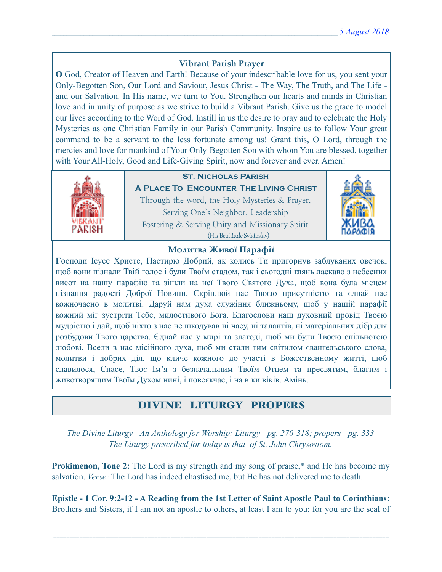## **Vibrant Parish Prayer**

**O** God, Creator of Heaven and Earth! Because of your indescribable love for us, you sent your Only-Begotten Son, Our Lord and Saviour, Jesus Christ - The Way, The Truth, and The Life and our Salvation. In His name, we turn to You. Strengthen our hearts and minds in Christian love and in unity of purpose as we strive to build a Vibrant Parish. Give us the grace to model our lives according to the Word of God. Instill in us the desire to pray and to celebrate the Holy Mysteries as one Christian Family in our Parish Community. Inspire us to follow Your great command to be a servant to the less fortunate among us! Grant this, O Lord, through the mercies and love for mankind of Your Only-Begotten Son with whom You are blessed, together with Your All-Holy, Good and Life-Giving Spirit, now and forever and ever. Amen!



# **St. Nicholas Parish**

**A Place To Encounter The Living Christ** Through the word, the Holy Mysteries & Prayer, Serving One's Neighbor, Leadership Fostering & Serving Unity and Missionary Spirit (His Beatitude Sviatoslav)



### **Молитва Живої Парафії**

**Г**осподи Ісусе Христе, Пастирю Добрий, як колись Ти пригорнув заблуканих овечок, щоб вони пізнали Твій голос і були Твоїм стадом, так і сьогодні глянь ласкаво з небесних висот на нашу парафію та зішли на неї Твого Святого Духа, щоб вона була місцем пізнання радості Доброї Новини. Скріплюй нас Твоєю присутністю та єднай нас кожночасно в молитві. Даруй нам духа служіння ближньому, щоб у нашій парафії кожний міг зустріти Тебе, милостивого Бога. Благослови наш духовний провід Твоєю мудрістю і дай, щоб ніхто з нас не шкодував ні часу, ні талантів, ні матеріальних дібр для розбудови Твого царства. Єднай нас у мирі та злагоді, щоб ми були Твоєю спільнотою любові. Всели в нас місійного духа, щоб ми стали тим світилом євангельського слова, молитви і добрих діл, що кличе кожного до участі в Божественному житті, щоб славилося, Спасе, Твоє Ім'я з безначальним Твоїм Отцем та пресвятим, благим і животворящим Твоїм Духом нині, і повсякчас, і на віки віків. Амінь.

# DIVINE LITURGY PROPERS

*The Divine Liturgy - An Anthology for Worship: Liturgy - pg. 270-318; propers - pg. 333 The Liturgy prescribed for today is that of St. John Chrysostom.* 

**Prokimenon, Tone 2:** The Lord is my strength and my song of praise,\* and He has become my salvation. *Verse:* The Lord has indeed chastised me, but He has not delivered me to death.

**Epistle - 1 Cor. 9:2-12 - A Reading from the 1st Letter of Saint Apostle Paul to Corinthians:** Brothers and Sisters, if I am not an apostle to others, at least I am to you; for you are the seal of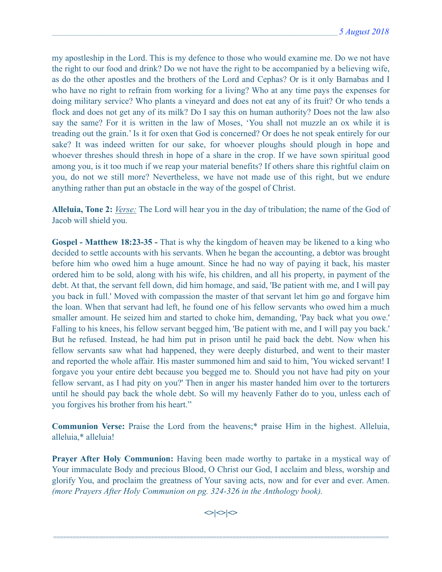my apostleship in the Lord. This is my defence to those who would examine me. Do we not have the right to our food and drink? Do we not have the right to be accompanied by a believing wife, as do the other apostles and the brothers of the Lord and Cephas? Or is it only Barnabas and I who have no right to refrain from working for a living? Who at any time pays the expenses for doing military service? Who plants a vineyard and does not eat any of its fruit? Or who tends a flock and does not get any of its milk? Do I say this on human authority? Does not the law also say the same? For it is written in the law of Moses, 'You shall not muzzle an ox while it is treading out the grain.' Is it for oxen that God is concerned? Or does he not speak entirely for our sake? It was indeed written for our sake, for whoever ploughs should plough in hope and whoever threshes should thresh in hope of a share in the crop. If we have sown spiritual good among you, is it too much if we reap your material benefits? If others share this rightful claim on you, do not we still more? Nevertheless, we have not made use of this right, but we endure anything rather than put an obstacle in the way of the gospel of Christ.

**Alleluia, Tone 2:** *Verse:* The Lord will hear you in the day of tribulation; the name of the God of Jacob will shield you.

**Gospel - Matthew 18:23-35 -** That is why the kingdom of heaven may be likened to a king who decided to settle accounts with his servants. When he began the accounting, a debtor was brought before him who owed him a huge amount. Since he had no way of paying it back, his master ordered him to be sold, along with his wife, his children, and all his property, in payment of the debt. At that, the servant fell down, did him homage, and said, 'Be patient with me, and I will pay you back in full.' Moved with compassion the master of that servant let him go and forgave him the loan. When that servant had left, he found one of his fellow servants who owed him a much smaller amount. He seized him and started to choke him, demanding, 'Pay back what you owe.' Falling to his knees, his fellow servant begged him, 'Be patient with me, and I will pay you back.' But he refused. Instead, he had him put in prison until he paid back the debt. Now when his fellow servants saw what had happened, they were deeply disturbed, and went to their master and reported the whole affair. His master summoned him and said to him, 'You wicked servant! I forgave you your entire debt because you begged me to. Should you not have had pity on your fellow servant, as I had pity on you?' Then in anger his master handed him over to the torturers until he should pay back the whole debt. So will my heavenly Father do to you, unless each of you forgives his brother from his heart."

**Communion Verse:** Praise the Lord from the heavens;\* praise Him in the highest. Alleluia, alleluia,\* alleluia!

**Prayer After Holy Communion:** Having been made worthy to partake in a mystical way of Your immaculate Body and precious Blood, O Christ our God, I acclaim and bless, worship and glorify You, and proclaim the greatness of Your saving acts, now and for ever and ever. Amen. *(more Prayers After Holy Communion on pg. 324-326 in the Anthology book).* 

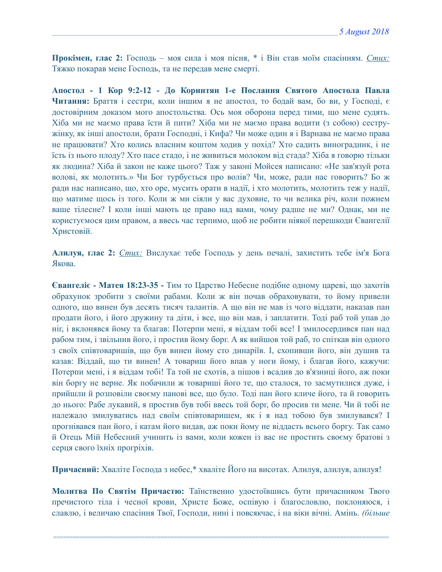**Прокімен, глас 2:** Господь – моя сила і моя пісня, \* і Він став моїм спасінням. *Стих:* Тяжко покарав мене Господь, та не передав мене смерті.

**Апостол - 1 Кор 9:2-12 - До Коринтян 1-e Послання Святого Апостола Павла Читання:** Браття і сестри, коли іншим я не апостол, то бодай вам, бо ви, у Господі, є достовірним доказом мого апостольства. Ось моя оборона перед тими, що мене судять. Хіба ми не маємо права їсти й пити? Хіба ми не маємо права водити (з собою) сестружінку, як інші апостоли, брати Господні, і Кифа? Чи може один я і Варнава не маємо права не працювати? Хто колись власним коштом ходив у похід? Хто садить виноградник, і не їсть із нього плоду? Хто пасе стадо, і не живиться молоком від стада? Хіба я говорю тільки як людина? Хіба й закон не каже цього? Таж у законі Мойсея написано: «Не зав'язуй рота волові, як молотить.» Чи Бог турбується про волів? Чи, може, ради нас говорить? Бо ж ради нас написано, що, хто оре, мусить орати в надії, і хто молотить, молотить теж у надії, що матиме щось із того. Коли ж ми сіяли у вас духовне, то чи велика річ, коли пожнем ваше тілесне? І коли інші мають це право над вами, чому радше не ми? Однак, ми не користуємося цим правом, а ввесь час терпимо, щоб не робити ніякої перешкоди Євангелії Христовій.

**Алилуя, глас 2:** *Стих:* Вислухає тебе Господь у день печалі, захистить тебе ім'я Бога Якова.

**Євангеліє - Матея 18:23-35 -** Тим то Царство Небесне подібне одному цареві, що захотів обрахунок зробити з своїми рабами. Коли ж він почав обраховувати, то йому привели одного, що винен був десять тисяч талантів. А що він не мав із чого віддати, наказав пан продати його, і його дружину та діти, і все, що він мав, і заплатити. Тоді раб той упав до ніг, і вклонявся йому та благав: Потерпи мені, я віддам тобі все! І змилосердився пан над рабом тим, і звільнив його, і простив йому борг. А як вийшов той раб, то спіткав він одного з своїх співтоваришів, що був винен йому сто динаріїв. І, схопивши його, він душив та казав: Віддай, що ти винен! А товариш його впав у ноги йому, і благав його, кажучи: Потерпи мені, і я віддам тобі! Та той не схотів, а пішов і всадив до в'язниці його, аж поки він боргу не верне. Як побачили ж товариші його те, що сталося, то засмутилися дуже, і прийшли й розповіли своєму панові все, що було. Тоді пан його кличе його, та й говорить до нього: Рабе лукавий, я простив був тобі ввесь той борг, бо просив ти мене. Чи й тобі не належало змилуватись над своїм співтоваришем, як і я над тобою був змилувався? І прогнівався пан його, і катам його видав, аж поки йому не віддасть всього боргу. Так само й Отець Мій Небесний учинить із вами, коли кожен із вас не простить своєму братові з серця свого їхніх прогріхів.

**Причасний:** Хваліте Господа з небес,\* хваліте Його на висотах. Алилуя, алилуя, алилуя!

**Молитва По Святім Причастю:** Таїнственно удостоївшись бути причасником Твого пречистого тіла і чесної крови, Христе Боже, оспівую і благословлю, поклоняюся, і славлю, і величаю спасіння Твої, Господи, нині і повсякчас, і на віки вічні. Амінь. *(більше*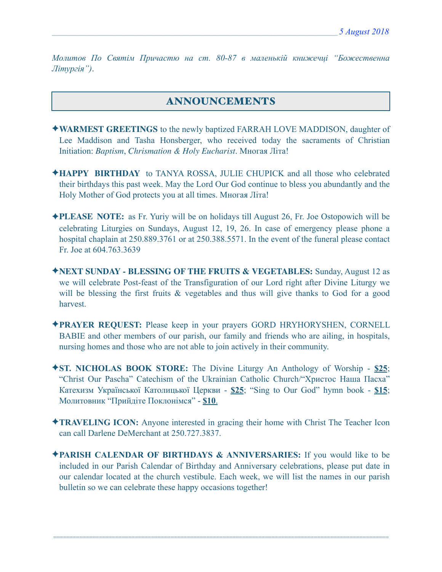*Молитов По Святім Причастю на ст. 80-87 в маленькій книжечці "Божественна Літургія")*.

## ANNOUNCEMENTS

- ✦**WARMEST GREETINGS** to the newly baptized FARRAH LOVE MADDISON, daughter of Lee Maddison and Tasha Honsberger, who received today the sacraments of Christian Initiation: *Baptism*, *Chrismation & Holy Eucharist*. Многая Літа!
- ✦**HAPPY BIRTHDAY** to TANYA ROSSA, JULIE CHUPICK and all those who celebrated their birthdays this past week. May the Lord Our God continue to bless you abundantly and the Holy Mother of God protects you at all times. Многая Літа!
- ✦**PLEASE NOTE:** as Fr. Yuriy will be on holidays till August 26, Fr. Joe Ostopowich will be celebrating Liturgies on Sundays, August 12, 19, 26. In case of emergency please phone a hospital chaplain at 250.889.3761 or at 250.388.5571. In the event of the funeral please contact Fr. Joe at 604.763.3639
- ✦**NEXT SUNDAY BLESSING OF THE FRUITS & VEGETABLES:** Sunday, August 12 as we will celebrate Post-feast of the Transfiguration of our Lord right after Divine Liturgy we will be blessing the first fruits & vegetables and thus will give thanks to God for a good harvest.
- ✦**PRAYER REQUEST:** Please keep in your prayers GORD HRYHORYSHEN, CORNELL BABIE and other members of our parish, our family and friends who are ailing, in hospitals, nursing homes and those who are not able to join actively in their community.
- ✦**ST. NICHOLAS BOOK STORE:** The Divine Liturgy An Anthology of Worship **\$25**; "Christ Our Pascha" Catechism of the Ukrainian Catholic Church/"Христос Наша Пасха" Катехизм Української Католицької Церкви - **\$25**; "Sing to Our God" hymn book - **\$15**; Молитовник "Прийдіте Поклонімся" - **\$10**.
- ✦**TRAVELING ICON:** Anyone interested in gracing their home with Christ The Teacher Icon can call Darlene DeMerchant at 250.727.3837.
- ✦**PARISH CALENDAR OF BIRTHDAYS & ANNIVERSARIES:** If you would like to be included in our Parish Calendar of Birthday and Anniversary celebrations, please put date in our calendar located at the church vestibule. Each week, we will list the names in our parish bulletin so we can celebrate these happy occasions together!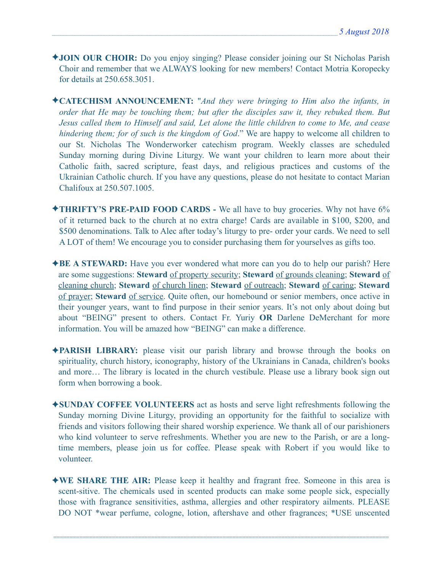- ✦**JOIN OUR CHOIR:** Do you enjoy singing? Please consider joining our St Nicholas Parish Choir and remember that we ALWAYS looking for new members! Contact Motria Koropecky for details at 250.658.3051.
- ✦**CATECHISM ANNOUNCEMENT:** "*And they were bringing to Him also the infants, in order that He may be touching them; but after the disciples saw it, they rebuked them. But Jesus called them to Himself and said, Let alone the little children to come to Me, and cease hindering them; for of such is the kingdom of God*." We are happy to welcome all children to our St. Nicholas The Wonderworker catechism program. Weekly classes are scheduled Sunday morning during Divine Liturgy. We want your children to learn more about their Catholic faith, sacred scripture, feast days, and religious practices and customs of the Ukrainian Catholic church. If you have any questions, please do not hesitate to contact Marian Chalifoux at 250.507.1005.
- ✦**THRIFTY'S PRE-PAID FOOD CARDS** We all have to buy groceries. Why not have 6% of it returned back to the church at no extra charge! Cards are available in \$100, \$200, and \$500 denominations. Talk to Alec after today's liturgy to pre- order your cards. We need to sell A LOT of them! We encourage you to consider purchasing them for yourselves as gifts too.
- ✦**BE A STEWARD:** Have you ever wondered what more can you do to help our parish? Here are some suggestions: **Steward** of property security; **Steward** of grounds cleaning; **Steward** of cleaning church; **Steward** of church linen; **Steward** of outreach; **Steward** of caring; **Steward** of prayer; **Steward** of service. Quite often, our homebound or senior members, once active in their younger years, want to find purpose in their senior years. It's not only about doing but about "BEING" present to others. Contact Fr. Yuriy **OR** Darlene DeMerchant for more information. You will be amazed how "BEING" can make a difference.
- ✦**PARISH LIBRARY:** please visit our parish library and browse through the books on spirituality, church history, iconography, history of the Ukrainians in Canada, children's books and more… The library is located in the church vestibule. Please use a library book sign out form when borrowing a book.
- ✦**SUNDAY COFFEE VOLUNTEERS** act as hosts and serve light refreshments following the Sunday morning Divine Liturgy, providing an opportunity for the faithful to socialize with friends and visitors following their shared worship experience. We thank all of our parishioners who kind volunteer to serve refreshments. Whether you are new to the Parish, or are a longtime members, please join us for coffee. Please speak with Robert if you would like to volunteer.
- ✦**WE SHARE THE AIR:** Please keep it healthy and fragrant free. Someone in this area is scent-sitive. The chemicals used in scented products can make some people sick, especially those with fragrance sensitivities, asthma, allergies and other respiratory ailments. PLEASE DO NOT \*wear perfume, cologne, lotion, aftershave and other fragrances; \*USE unscented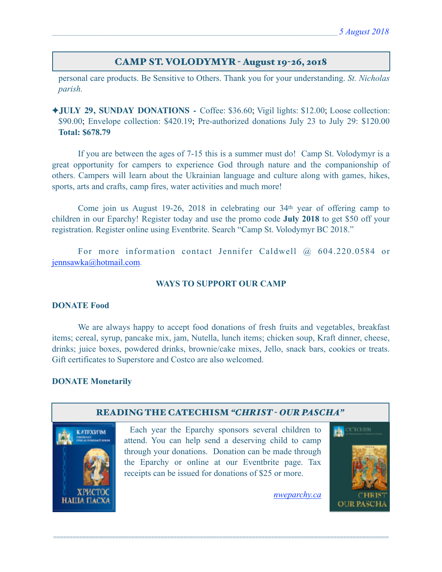# CAMP ST. VOLODYMYR - August 19-26, 2018

personal care products. Be Sensitive to Others. Thank you for your understanding. *St. Nicholas parish.* 

✦**JULY 29, SUNDAY DONATIONS -** Coffee: \$36.60; Vigil lights: \$12.00; Loose collection: \$90.00; Envelope collection: \$420.19; Pre-authorized donations July 23 to July 29: \$120.00 **Total: \$678.79**

 If you are between the ages of 7-15 this is a summer must do! Camp St. Volodymyr is a great opportunity for campers to experience God through nature and the companionship of others. Campers will learn about the Ukrainian language and culture along with games, hikes, sports, arts and crafts, camp fires, water activities and much more!

Come join us August 19-26, 2018 in celebrating our  $34<sup>th</sup>$  year of offering camp to children in our Eparchy! Register today and use the promo code **July 2018** to get \$50 off your registration. Register online using Eventbrite. Search "Camp St. Volodymyr BC 2018."

For more information contact Jennifer Caldwell @ 604.220.0584 or [jennsawka@hotmail.com](mailto:jennsawka@hotmail.com).

### **WAYS TO SUPPORT OUR CAMP**

#### **DONATE Food**

 We are always happy to accept food donations of fresh fruits and vegetables, breakfast items; cereal, syrup, pancake mix, jam, Nutella, lunch items; chicken soup, Kraft dinner, cheese, drinks; juice boxes, powdered drinks, brownie/cake mixes, Jello, snack bars, cookies or treats. Gift certificates to Superstore and Costco are also welcomed.

#### **DONATE Monetarily**

#### READING THE CATECHISM *"CHRIST - OUR PASCHA"*



 Each year the Eparchy sponsors several children to attend. You can help send a deserving child to camp through your donations. Donation can be made through the Eparchy or online at our Eventbrite page. Tax receipts can be issued for donations of \$25 or more.

=======================================================================================================



*[nweparchy.ca](http://nweparchy.ca)*